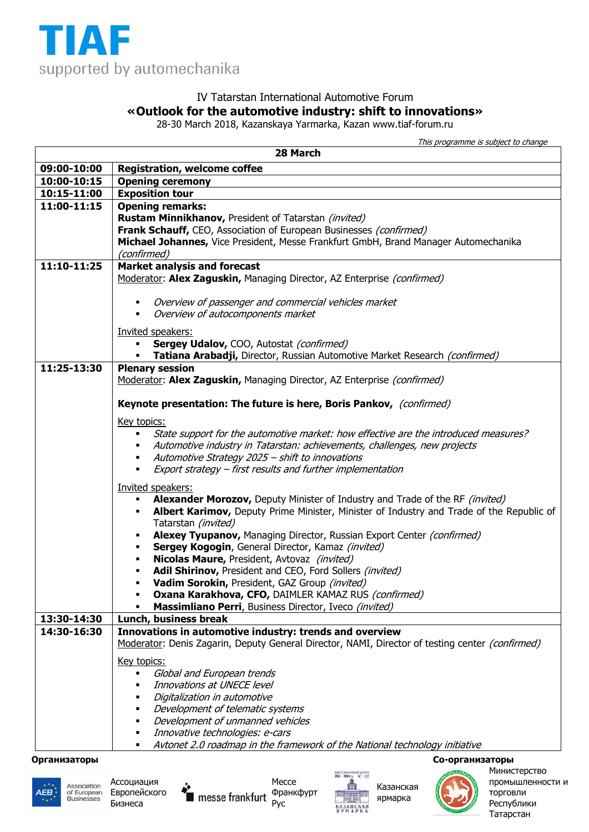

## IV Tatarstan International Automotive Forum **«Outlook for the automotive industry: shift to innovations»**

28-30 March 2018, Kazanskaya Yarmarka, Kazan www.tiaf-forum.ru

This programme is subject to change

| 28 March     |                                                                                                                                                                          |
|--------------|--------------------------------------------------------------------------------------------------------------------------------------------------------------------------|
| 09:00-10:00  | <b>Registration, welcome coffee</b>                                                                                                                                      |
| 10:00-10:15  | <b>Opening ceremony</b>                                                                                                                                                  |
| 10:15-11:00  | <b>Exposition tour</b>                                                                                                                                                   |
| 11:00-11:15  | <b>Opening remarks:</b>                                                                                                                                                  |
|              | Rustam Minnikhanov, President of Tatarstan (invited)                                                                                                                     |
|              | Frank Schauff, CEO, Association of European Businesses (confirmed)                                                                                                       |
|              | Michael Johannes, Vice President, Messe Frankfurt GmbH, Brand Manager Automechanika<br>(confirmed)                                                                       |
| 11:10-11:25  | <b>Market analysis and forecast</b>                                                                                                                                      |
|              | Moderator: Alex Zaguskin, Managing Director, AZ Enterprise (confirmed)                                                                                                   |
|              | Overview of passenger and commercial vehicles market<br>٠                                                                                                                |
|              | Overview of autocomponents market                                                                                                                                        |
|              |                                                                                                                                                                          |
|              | Invited speakers:<br>٠                                                                                                                                                   |
|              | Sergey Udalov, COO, Autostat (confirmed)<br>Tatiana Arabadji, Director, Russian Automotive Market Research (confirmed)                                                   |
| 11:25-13:30  | <b>Plenary session</b>                                                                                                                                                   |
|              | Moderator: Alex Zaguskin, Managing Director, AZ Enterprise (confirmed)                                                                                                   |
|              |                                                                                                                                                                          |
|              | Keynote presentation: The future is here, Boris Pankov, (confirmed)                                                                                                      |
|              | Key topics:                                                                                                                                                              |
|              | State support for the automotive market: how effective are the introduced measures?                                                                                      |
|              | Automotive industry in Tatarstan: achievements, challenges, new projects                                                                                                 |
|              | Automotive Strategy 2025 - shift to innovations                                                                                                                          |
|              | Export strategy – first results and further implementation                                                                                                               |
|              | Invited speakers:                                                                                                                                                        |
|              | Alexander Morozov, Deputy Minister of Industry and Trade of the RF (invited)<br>Albert Karimov, Deputy Prime Minister, Minister of Industry and Trade of the Republic of |
|              | Tatarstan (invited)                                                                                                                                                      |
|              | Alexey Tyupanov, Managing Director, Russian Export Center (confirmed)                                                                                                    |
|              | Sergey Kogogin, General Director, Kamaz (invited)<br>٠                                                                                                                   |
|              | Nicolas Maure, President, Avtovaz (invited)<br>٠                                                                                                                         |
|              | Adil Shirinov, President and CEO, Ford Sollers (invited)<br>$\blacksquare$                                                                                               |
|              | Vadim Sorokin, President, GAZ Group (invited)                                                                                                                            |
|              | Oxana Karakhova, CFO, DAIMLER KAMAZ RUS (confirmed)<br>Massimliano Perri, Business Director, Iveco (invited)                                                             |
| 13:30-14:30  | Lunch, business break                                                                                                                                                    |
| 14:30-16:30  | Innovations in automotive industry: trends and overview                                                                                                                  |
|              | Moderator: Denis Zagarin, Deputy General Director, NAMI, Director of testing center (confirmed)                                                                          |
|              | Key topics:                                                                                                                                                              |
|              | Global and European trends<br>٠                                                                                                                                          |
|              | Innovations at UNECE level                                                                                                                                               |
|              | Digitalization in automotive                                                                                                                                             |
|              | Development of telematic systems                                                                                                                                         |
|              | Development of unmanned vehicles<br>Innovative technologies: e-cars                                                                                                      |
|              | Avtonet 2.0 roadmap in the framework of the National technology initiative                                                                                               |
| Организаторы | Со-организаторы                                                                                                                                                          |









Казанская ярмарка



промышленности и

торговли Республики Татарстан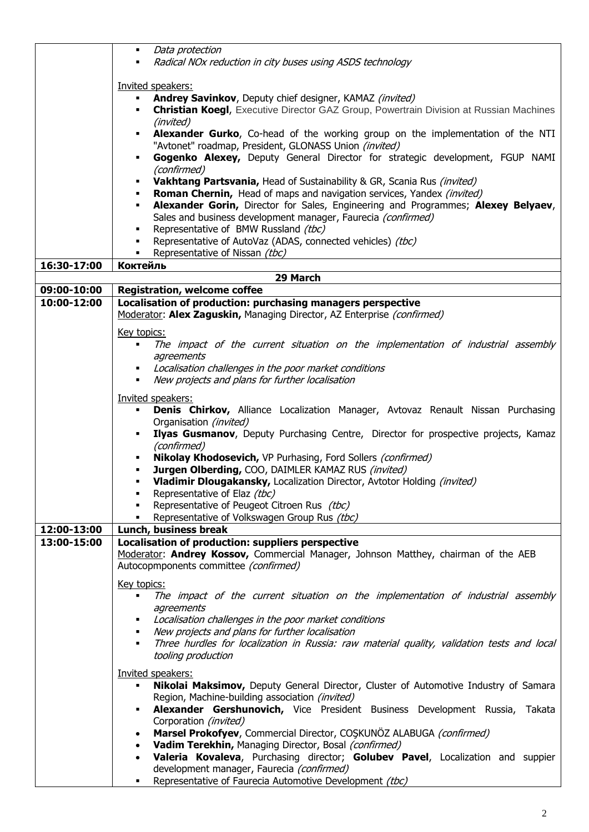|             | Data protection<br>$\blacksquare$<br>Radical NOx reduction in city buses using ASDS technology                                                                                  |
|-------------|---------------------------------------------------------------------------------------------------------------------------------------------------------------------------------|
|             |                                                                                                                                                                                 |
|             | Invited speakers:                                                                                                                                                               |
|             | Andrey Savinkov, Deputy chief designer, KAMAZ (invited)<br>$\blacksquare$<br><b>Christian Koegl, Executive Director GAZ Group, Powertrain Division at Russian Machines</b><br>٠ |
|             | (invited)                                                                                                                                                                       |
|             | Alexander Gurko, Co-head of the working group on the implementation of the NTI<br>٠                                                                                             |
|             | "Avtonet" roadmap, President, GLONASS Union (invited)                                                                                                                           |
|             | Gogenko Alexey, Deputy General Director for strategic development, FGUP NAMI<br>٠<br>(confirmed)                                                                                |
|             | Vakhtang Partsvania, Head of Sustainability & GR, Scania Rus (invited)<br>$\blacksquare$                                                                                        |
|             | <b>Roman Chernin, Head of maps and navigation services, Yandex (invited)</b>                                                                                                    |
|             | Alexander Gorin, Director for Sales, Engineering and Programmes; Alexey Belyaev,                                                                                                |
|             | Sales and business development manager, Faurecia (confirmed)<br>Representative of BMW Russland (tbc)                                                                            |
|             | Representative of AutoVaz (ADAS, connected vehicles) (tbc)                                                                                                                      |
|             | Representative of Nissan (tbc)                                                                                                                                                  |
| 16:30-17:00 | <b>Коктейль</b>                                                                                                                                                                 |
| 09:00-10:00 | 29 March<br><b>Registration, welcome coffee</b>                                                                                                                                 |
| 10:00-12:00 | Localisation of production: purchasing managers perspective                                                                                                                     |
|             | Moderator: Alex Zaguskin, Managing Director, AZ Enterprise (confirmed)                                                                                                          |
|             | Key topics:                                                                                                                                                                     |
|             | The impact of the current situation on the implementation of industrial assembly<br>٠                                                                                           |
|             | agreements                                                                                                                                                                      |
|             | Localisation challenges in the poor market conditions<br>٠                                                                                                                      |
|             | New projects and plans for further localisation                                                                                                                                 |
|             | Invited speakers:                                                                                                                                                               |
|             | Denis Chirkov, Alliance Localization Manager, Avtovaz Renault Nissan Purchasing<br>Organisation (invited)                                                                       |
|             | Ilyas Gusmanov, Deputy Purchasing Centre, Director for prospective projects, Kamaz                                                                                              |
|             | (confirmed)                                                                                                                                                                     |
|             | Nikolay Khodosevich, VP Purhasing, Ford Sollers (confirmed)<br>Jurgen Olberding, COO, DAIMLER KAMAZ RUS (invited)                                                               |
|             | Vladimir Dlougakansky, Localization Director, Avtotor Holding (invited)                                                                                                         |
|             | Representative of Elaz (tbc)                                                                                                                                                    |
|             | Representative of Peugeot Citroen Rus (tbc)                                                                                                                                     |
| 12:00-13:00 | Representative of Volkswagen Group Rus (tbc)<br>Lunch, business break                                                                                                           |
| 13:00-15:00 | Localisation of production: suppliers perspective                                                                                                                               |
|             | Moderator: Andrey Kossov, Commercial Manager, Johnson Matthey, chairman of the AEB                                                                                              |
|             | Autocopmponents committee (confirmed)                                                                                                                                           |
|             | Key topics:                                                                                                                                                                     |
|             | The impact of the current situation on the implementation of industrial assembly                                                                                                |
|             | agreements<br>Localisation challenges in the poor market conditions                                                                                                             |
|             | New projects and plans for further localisation                                                                                                                                 |
|             | Three hurdles for localization in Russia: raw material quality, validation tests and local                                                                                      |
|             | tooling production                                                                                                                                                              |
|             | Invited speakers:                                                                                                                                                               |
|             | Nikolai Maksimov, Deputy General Director, Cluster of Automotive Industry of Samara<br>٠                                                                                        |
|             | Region, Machine-building association (invited)<br>Alexander Gershunovich, Vice President Business Development Russia, Takata                                                    |
|             | Corporation (invited)                                                                                                                                                           |
|             | Marsel Prokofyev, Commercial Director, COSKUNÖZ ALABUGA (confirmed)                                                                                                             |
|             | Vadim Terekhin, Managing Director, Bosal (confirmed)                                                                                                                            |
|             | Valeria Kovaleva, Purchasing director; Golubev Pavel, Localization and suppier<br>development manager, Faurecia (confirmed)                                                     |
|             | Representative of Faurecia Automotive Development (tbc)                                                                                                                         |